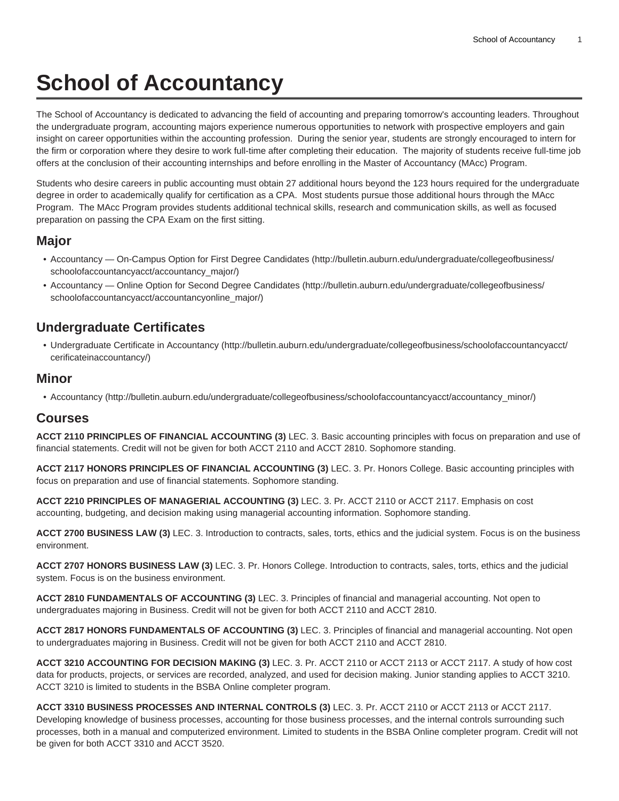# **School of Accountancy**

The School of Accountancy is dedicated to advancing the field of accounting and preparing tomorrow's accounting leaders. Throughout the undergraduate program, accounting majors experience numerous opportunities to network with prospective employers and gain insight on career opportunities within the accounting profession. During the senior year, students are strongly encouraged to intern for the firm or corporation where they desire to work full-time after completing their education. The majority of students receive full-time job offers at the conclusion of their accounting internships and before enrolling in the Master of Accountancy (MAcc) Program.

Students who desire careers in public accounting must obtain 27 additional hours beyond the 123 hours required for the undergraduate degree in order to academically qualify for certification as a CPA. Most students pursue those additional hours through the MAcc Program. The MAcc Program provides students additional technical skills, research and communication skills, as well as focused preparation on passing the CPA Exam on the first sitting.

### **Major**

- [Accountancy On-Campus Option for First Degree Candidates](http://bulletin.auburn.edu/undergraduate/collegeofbusiness/schoolofaccountancyacct/accountancy_major/) ([http://bulletin.auburn.edu/undergraduate/collegeofbusiness/](http://bulletin.auburn.edu/undergraduate/collegeofbusiness/schoolofaccountancyacct/accountancy_major/) [schoolofaccountancyacct/accountancy\\_major/\)](http://bulletin.auburn.edu/undergraduate/collegeofbusiness/schoolofaccountancyacct/accountancy_major/)
- [Accountancy Online Option for Second Degree Candidates \(http://bulletin.auburn.edu/undergraduate/collegeofbusiness/](http://bulletin.auburn.edu/undergraduate/collegeofbusiness/schoolofaccountancyacct/accountancyonline_major/) [schoolofaccountancyacct/accountancyonline\\_major/\)](http://bulletin.auburn.edu/undergraduate/collegeofbusiness/schoolofaccountancyacct/accountancyonline_major/)

# **Undergraduate Certificates**

• [Undergraduate Certificate in Accountancy \(http://bulletin.auburn.edu/undergraduate/collegeofbusiness/schoolofaccountancyacct/](http://bulletin.auburn.edu/undergraduate/collegeofbusiness/schoolofaccountancyacct/cerificateinaccountancy/) [cerificateinaccountancy/](http://bulletin.auburn.edu/undergraduate/collegeofbusiness/schoolofaccountancyacct/cerificateinaccountancy/))

#### **Minor**

• [Accountancy \(http://bulletin.auburn.edu/undergraduate/collegeofbusiness/schoolofaccountancyacct/accountancy\\_minor/](http://bulletin.auburn.edu/undergraduate/collegeofbusiness/schoolofaccountancyacct/accountancy_minor/))

## **Courses**

**ACCT 2110 PRINCIPLES OF FINANCIAL ACCOUNTING (3)** LEC. 3. Basic accounting principles with focus on preparation and use of financial statements. Credit will not be given for both ACCT 2110 and ACCT 2810. Sophomore standing.

**ACCT 2117 HONORS PRINCIPLES OF FINANCIAL ACCOUNTING (3)** LEC. 3. Pr. Honors College. Basic accounting principles with focus on preparation and use of financial statements. Sophomore standing.

**ACCT 2210 PRINCIPLES OF MANAGERIAL ACCOUNTING (3)** LEC. 3. Pr. ACCT 2110 or ACCT 2117. Emphasis on cost accounting, budgeting, and decision making using managerial accounting information. Sophomore standing.

**ACCT 2700 BUSINESS LAW (3)** LEC. 3. Introduction to contracts, sales, torts, ethics and the judicial system. Focus is on the business environment.

**ACCT 2707 HONORS BUSINESS LAW (3)** LEC. 3. Pr. Honors College. Introduction to contracts, sales, torts, ethics and the judicial system. Focus is on the business environment.

**ACCT 2810 FUNDAMENTALS OF ACCOUNTING (3)** LEC. 3. Principles of financial and managerial accounting. Not open to undergraduates majoring in Business. Credit will not be given for both ACCT 2110 and ACCT 2810.

**ACCT 2817 HONORS FUNDAMENTALS OF ACCOUNTING (3)** LEC. 3. Principles of financial and managerial accounting. Not open to undergraduates majoring in Business. Credit will not be given for both ACCT 2110 and ACCT 2810.

**ACCT 3210 ACCOUNTING FOR DECISION MAKING (3)** LEC. 3. Pr. ACCT 2110 or ACCT 2113 or ACCT 2117. A study of how cost data for products, projects, or services are recorded, analyzed, and used for decision making. Junior standing applies to ACCT 3210. ACCT 3210 is limited to students in the BSBA Online completer program.

**ACCT 3310 BUSINESS PROCESSES AND INTERNAL CONTROLS (3)** LEC. 3. Pr. ACCT 2110 or ACCT 2113 or ACCT 2117. Developing knowledge of business processes, accounting for those business processes, and the internal controls surrounding such processes, both in a manual and computerized environment. Limited to students in the BSBA Online completer program. Credit will not be given for both ACCT 3310 and ACCT 3520.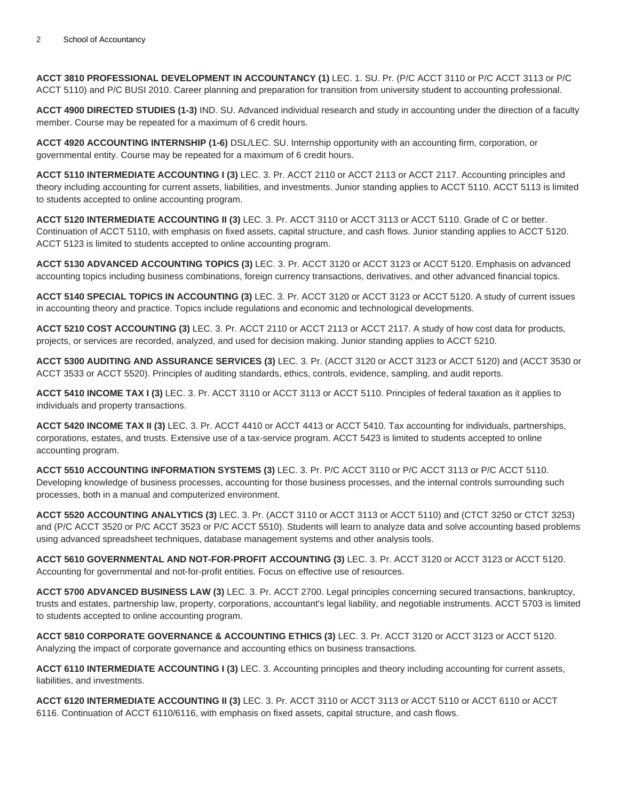**ACCT 3810 PROFESSIONAL DEVELOPMENT IN ACCOUNTANCY (1)** LEC. 1. SU. Pr. (P/C ACCT 3110 or P/C ACCT 3113 or P/C ACCT 5110) and P/C BUSI 2010. Career planning and preparation for transition from university student to accounting professional.

**ACCT 4900 DIRECTED STUDIES (1-3)** IND. SU. Advanced individual research and study in accounting under the direction of a faculty member. Course may be repeated for a maximum of 6 credit hours.

**ACCT 4920 ACCOUNTING INTERNSHIP (1-6)** DSL/LEC. SU. Internship opportunity with an accounting firm, corporation, or governmental entity. Course may be repeated for a maximum of 6 credit hours.

**ACCT 5110 INTERMEDIATE ACCOUNTING I (3)** LEC. 3. Pr. ACCT 2110 or ACCT 2113 or ACCT 2117. Accounting principles and theory including accounting for current assets, liabilities, and investments. Junior standing applies to ACCT 5110. ACCT 5113 is limited to students accepted to online accounting program.

**ACCT 5120 INTERMEDIATE ACCOUNTING II (3)** LEC. 3. Pr. ACCT 3110 or ACCT 3113 or ACCT 5110. Grade of C or better. Continuation of ACCT 5110, with emphasis on fixed assets, capital structure, and cash flows. Junior standing applies to ACCT 5120. ACCT 5123 is limited to students accepted to online accounting program.

**ACCT 5130 ADVANCED ACCOUNTING TOPICS (3)** LEC. 3. Pr. ACCT 3120 or ACCT 3123 or ACCT 5120. Emphasis on advanced accounting topics including business combinations, foreign currency transactions, derivatives, and other advanced financial topics.

**ACCT 5140 SPECIAL TOPICS IN ACCOUNTING (3)** LEC. 3. Pr. ACCT 3120 or ACCT 3123 or ACCT 5120. A study of current issues in accounting theory and practice. Topics include regulations and economic and technological developments.

**ACCT 5210 COST ACCOUNTING (3)** LEC. 3. Pr. ACCT 2110 or ACCT 2113 or ACCT 2117. A study of how cost data for products, projects, or services are recorded, analyzed, and used for decision making. Junior standing applies to ACCT 5210.

**ACCT 5300 AUDITING AND ASSURANCE SERVICES (3)** LEC. 3. Pr. (ACCT 3120 or ACCT 3123 or ACCT 5120) and (ACCT 3530 or ACCT 3533 or ACCT 5520). Principles of auditing standards, ethics, controls, evidence, sampling, and audit reports.

**ACCT 5410 INCOME TAX I (3)** LEC. 3. Pr. ACCT 3110 or ACCT 3113 or ACCT 5110. Principles of federal taxation as it applies to individuals and property transactions.

**ACCT 5420 INCOME TAX II (3)** LEC. 3. Pr. ACCT 4410 or ACCT 4413 or ACCT 5410. Tax accounting for individuals, partnerships, corporations, estates, and trusts. Extensive use of a tax-service program. ACCT 5423 is limited to students accepted to online accounting program.

**ACCT 5510 ACCOUNTING INFORMATION SYSTEMS (3)** LEC. 3. Pr. P/C ACCT 3110 or P/C ACCT 3113 or P/C ACCT 5110. Developing knowledge of business processes, accounting for those business processes, and the internal controls surrounding such processes, both in a manual and computerized environment.

**ACCT 5520 ACCOUNTING ANALYTICS (3)** LEC. 3. Pr. (ACCT 3110 or ACCT 3113 or ACCT 5110) and (CTCT 3250 or CTCT 3253) and (P/C ACCT 3520 or P/C ACCT 3523 or P/C ACCT 5510). Students will learn to analyze data and solve accounting based problems using advanced spreadsheet techniques, database management systems and other analysis tools.

**ACCT 5610 GOVERNMENTAL AND NOT-FOR-PROFIT ACCOUNTING (3)** LEC. 3. Pr. ACCT 3120 or ACCT 3123 or ACCT 5120. Accounting for governmental and not-for-profit entities. Focus on effective use of resources.

**ACCT 5700 ADVANCED BUSINESS LAW (3)** LEC. 3. Pr. ACCT 2700. Legal principles concerning secured transactions, bankruptcy, trusts and estates, partnership law, property, corporations, accountant's legal liability, and negotiable instruments. ACCT 5703 is limited to students accepted to online accounting program.

**ACCT 5810 CORPORATE GOVERNANCE & ACCOUNTING ETHICS (3)** LEC. 3. Pr. ACCT 3120 or ACCT 3123 or ACCT 5120. Analyzing the impact of corporate governance and accounting ethics on business transactions.

**ACCT 6110 INTERMEDIATE ACCOUNTING I (3)** LEC. 3. Accounting principles and theory including accounting for current assets, liabilities, and investments.

**ACCT 6120 INTERMEDIATE ACCOUNTING II (3)** LEC. 3. Pr. ACCT 3110 or ACCT 3113 or ACCT 5110 or ACCT 6110 or ACCT 6116. Continuation of ACCT 6110/6116, with emphasis on fixed assets, capital structure, and cash flows.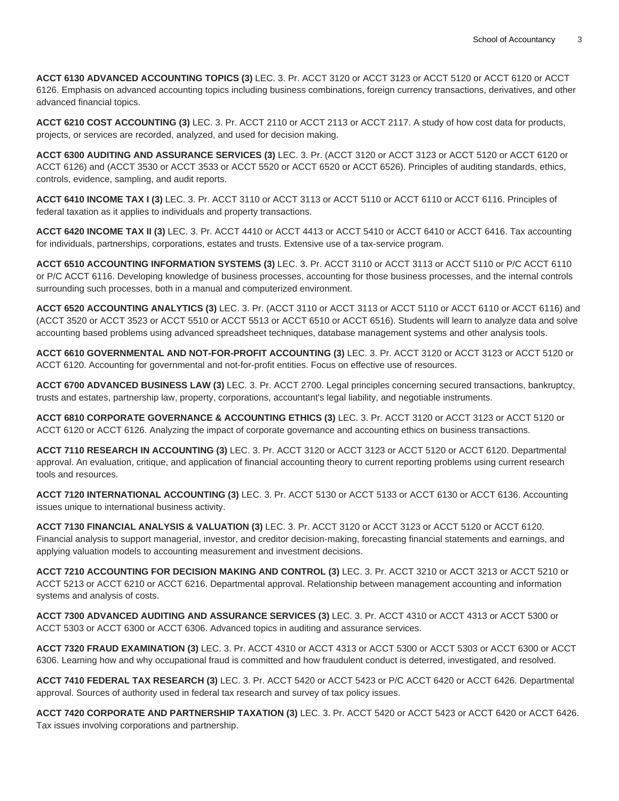**ACCT 6130 ADVANCED ACCOUNTING TOPICS (3)** LEC. 3. Pr. ACCT 3120 or ACCT 3123 or ACCT 5120 or ACCT 6120 or ACCT 6126. Emphasis on advanced accounting topics including business combinations, foreign currency transactions, derivatives, and other advanced financial topics.

**ACCT 6210 COST ACCOUNTING (3)** LEC. 3. Pr. ACCT 2110 or ACCT 2113 or ACCT 2117. A study of how cost data for products, projects, or services are recorded, analyzed, and used for decision making.

**ACCT 6300 AUDITING AND ASSURANCE SERVICES (3)** LEC. 3. Pr. (ACCT 3120 or ACCT 3123 or ACCT 5120 or ACCT 6120 or ACCT 6126) and (ACCT 3530 or ACCT 3533 or ACCT 5520 or ACCT 6520 or ACCT 6526). Principles of auditing standards, ethics, controls, evidence, sampling, and audit reports.

**ACCT 6410 INCOME TAX I (3)** LEC. 3. Pr. ACCT 3110 or ACCT 3113 or ACCT 5110 or ACCT 6110 or ACCT 6116. Principles of federal taxation as it applies to individuals and property transactions.

**ACCT 6420 INCOME TAX II (3)** LEC. 3. Pr. ACCT 4410 or ACCT 4413 or ACCT 5410 or ACCT 6410 or ACCT 6416. Tax accounting for individuals, partnerships, corporations, estates and trusts. Extensive use of a tax-service program.

**ACCT 6510 ACCOUNTING INFORMATION SYSTEMS (3)** LEC. 3. Pr. ACCT 3110 or ACCT 3113 or ACCT 5110 or P/C ACCT 6110 or P/C ACCT 6116. Developing knowledge of business processes, accounting for those business processes, and the internal controls surrounding such processes, both in a manual and computerized environment.

**ACCT 6520 ACCOUNTING ANALYTICS (3)** LEC. 3. Pr. (ACCT 3110 or ACCT 3113 or ACCT 5110 or ACCT 6110 or ACCT 6116) and (ACCT 3520 or ACCT 3523 or ACCT 5510 or ACCT 5513 or ACCT 6510 or ACCT 6516). Students will learn to analyze data and solve accounting based problems using advanced spreadsheet techniques, database management systems and other analysis tools.

**ACCT 6610 GOVERNMENTAL AND NOT-FOR-PROFIT ACCOUNTING (3)** LEC. 3. Pr. ACCT 3120 or ACCT 3123 or ACCT 5120 or ACCT 6120. Accounting for governmental and not-for-profit entities. Focus on effective use of resources.

**ACCT 6700 ADVANCED BUSINESS LAW (3)** LEC. 3. Pr. ACCT 2700. Legal principles concerning secured transactions, bankruptcy, trusts and estates, partnership law, property, corporations, accountant's legal liability, and negotiable instruments.

**ACCT 6810 CORPORATE GOVERNANCE & ACCOUNTING ETHICS (3)** LEC. 3. Pr. ACCT 3120 or ACCT 3123 or ACCT 5120 or ACCT 6120 or ACCT 6126. Analyzing the impact of corporate governance and accounting ethics on business transactions.

**ACCT 7110 RESEARCH IN ACCOUNTING (3)** LEC. 3. Pr. ACCT 3120 or ACCT 3123 or ACCT 5120 or ACCT 6120. Departmental approval. An evaluation, critique, and application of financial accounting theory to current reporting problems using current research tools and resources.

**ACCT 7120 INTERNATIONAL ACCOUNTING (3)** LEC. 3. Pr. ACCT 5130 or ACCT 5133 or ACCT 6130 or ACCT 6136. Accounting issues unique to international business activity.

**ACCT 7130 FINANCIAL ANALYSIS & VALUATION (3)** LEC. 3. Pr. ACCT 3120 or ACCT 3123 or ACCT 5120 or ACCT 6120. Financial analysis to support managerial, investor, and creditor decision-making, forecasting financial statements and earnings, and applying valuation models to accounting measurement and investment decisions.

**ACCT 7210 ACCOUNTING FOR DECISION MAKING AND CONTROL (3)** LEC. 3. Pr. ACCT 3210 or ACCT 3213 or ACCT 5210 or ACCT 5213 or ACCT 6210 or ACCT 6216. Departmental approval. Relationship between management accounting and information systems and analysis of costs.

**ACCT 7300 ADVANCED AUDITING AND ASSURANCE SERVICES (3)** LEC. 3. Pr. ACCT 4310 or ACCT 4313 or ACCT 5300 or ACCT 5303 or ACCT 6300 or ACCT 6306. Advanced topics in auditing and assurance services.

**ACCT 7320 FRAUD EXAMINATION (3)** LEC. 3. Pr. ACCT 4310 or ACCT 4313 or ACCT 5300 or ACCT 5303 or ACCT 6300 or ACCT 6306. Learning how and why occupational fraud is committed and how fraudulent conduct is deterred, investigated, and resolved.

**ACCT 7410 FEDERAL TAX RESEARCH (3)** LEC. 3. Pr. ACCT 5420 or ACCT 5423 or P/C ACCT 6420 or ACCT 6426. Departmental approval. Sources of authority used in federal tax research and survey of tax policy issues.

**ACCT 7420 CORPORATE AND PARTNERSHIP TAXATION (3)** LEC. 3. Pr. ACCT 5420 or ACCT 5423 or ACCT 6420 or ACCT 6426. Tax issues involving corporations and partnership.